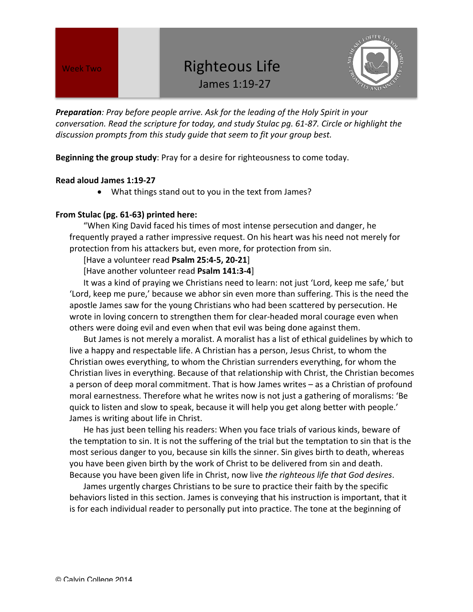## Week Two **Righteous Life** James 1:19-27



**Preparation**: Pray before people arrive. Ask for the leading of the Holy Spirit in your *conversation.* Read the scripture for today, and study Stulac pg. 61-87. Circle or highlight the discussion prompts from this study guide that seem to fit your group best.

**Beginning the group study**: Pray for a desire for righteousness to come today.

## **Read aloud James 1:19-27**

• What things stand out to you in the text from James?

## From Stulac (pg. 61-63) printed here:

"When King David faced his times of most intense persecution and danger, he frequently prayed a rather impressive request. On his heart was his need not merely for protection from his attackers but, even more, for protection from sin.

[Have a volunteer read Psalm 25:4-5, 20-21]

[Have another volunteer read Psalm 141:3-4]

It was a kind of praying we Christians need to learn: not just 'Lord, keep me safe,' but Lord, keep me pure,' because we abhor sin even more than suffering. This is the need the apostle James saw for the young Christians who had been scattered by persecution. He wrote in loving concern to strengthen them for clear-headed moral courage even when others were doing evil and even when that evil was being done against them.

But James is not merely a moralist. A moralist has a list of ethical guidelines by which to live a happy and respectable life. A Christian has a person, Jesus Christ, to whom the Christian owes everything, to whom the Christian surrenders everything, for whom the Christian lives in everything. Because of that relationship with Christ, the Christian becomes a person of deep moral commitment. That is how James writes – as a Christian of profound moral earnestness. Therefore what he writes now is not just a gathering of moralisms: 'Be quick to listen and slow to speak, because it will help you get along better with people.' James is writing about life in Christ.

He has just been telling his readers: When you face trials of various kinds, beware of the temptation to sin. It is not the suffering of the trial but the temptation to sin that is the most serious danger to you, because sin kills the sinner. Sin gives birth to death, whereas you have been given birth by the work of Christ to be delivered from sin and death. Because you have been given life in Christ, now live the righteous life that God desires.

James urgently charges Christians to be sure to practice their faith by the specific behaviors listed in this section. James is conveying that his instruction is important, that it is for each individual reader to personally put into practice. The tone at the beginning of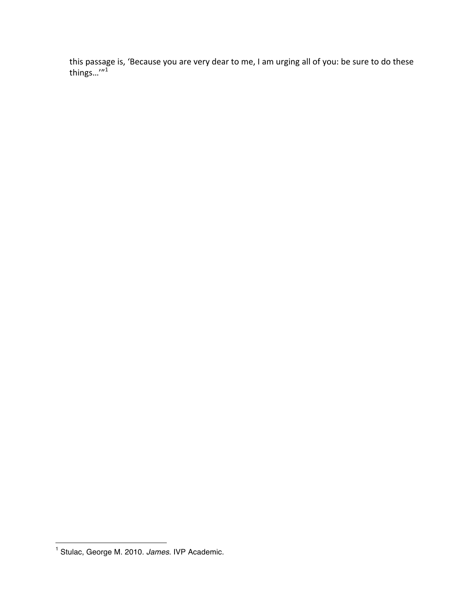this passage is, 'Because you are very dear to me, I am urging all of you: be sure to do these things…′″<sup>1</sup>

 

<sup>1</sup> Stulac, George M. 2010. *James*. IVP Academic.